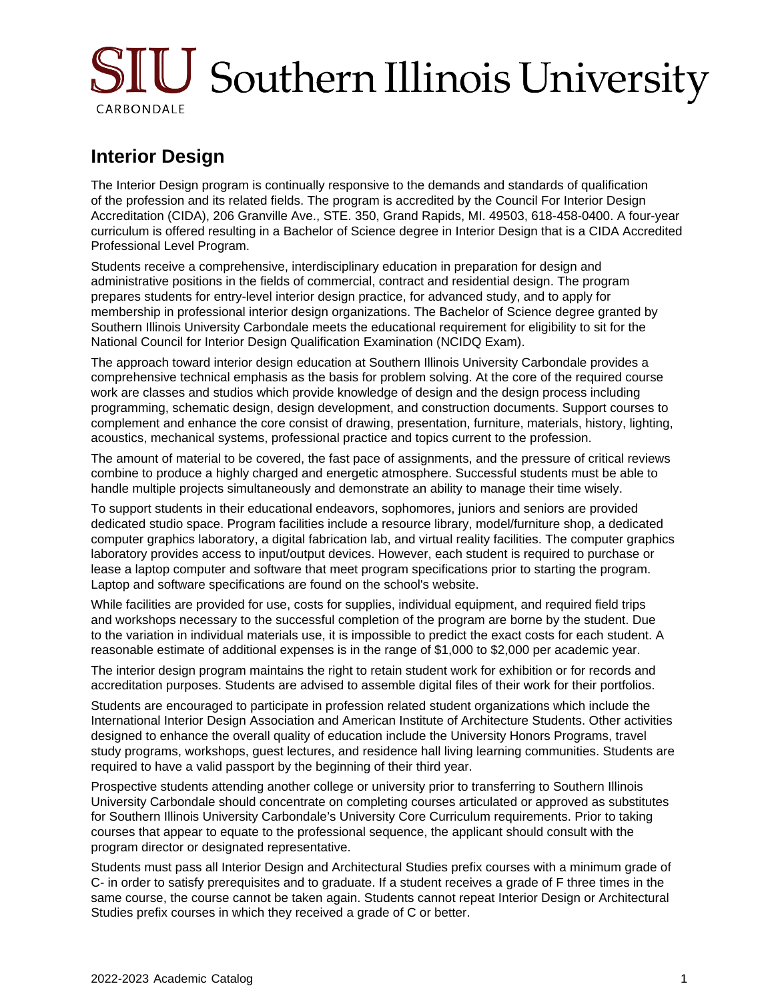# SIU Southern Illinois University CARBONDALE

## **Interior Design**

The Interior Design program is continually responsive to the demands and standards of qualification of the profession and its related fields. The program is accredited by the Council For Interior Design Accreditation (CIDA), 206 Granville Ave., STE. 350, Grand Rapids, MI. 49503, 618-458-0400. A four-year curriculum is offered resulting in a Bachelor of Science degree in Interior Design that is a CIDA Accredited Professional Level Program.

Students receive a comprehensive, interdisciplinary education in preparation for design and administrative positions in the fields of commercial, contract and residential design. The program prepares students for entry-level interior design practice, for advanced study, and to apply for membership in professional interior design organizations. The Bachelor of Science degree granted by Southern Illinois University Carbondale meets the educational requirement for eligibility to sit for the National Council for Interior Design Qualification Examination (NCIDQ Exam).

The approach toward interior design education at Southern Illinois University Carbondale provides a comprehensive technical emphasis as the basis for problem solving. At the core of the required course work are classes and studios which provide knowledge of design and the design process including programming, schematic design, design development, and construction documents. Support courses to complement and enhance the core consist of drawing, presentation, furniture, materials, history, lighting, acoustics, mechanical systems, professional practice and topics current to the profession.

The amount of material to be covered, the fast pace of assignments, and the pressure of critical reviews combine to produce a highly charged and energetic atmosphere. Successful students must be able to handle multiple projects simultaneously and demonstrate an ability to manage their time wisely.

To support students in their educational endeavors, sophomores, juniors and seniors are provided dedicated studio space. Program facilities include a resource library, model/furniture shop, a dedicated computer graphics laboratory, a digital fabrication lab, and virtual reality facilities. The computer graphics laboratory provides access to input/output devices. However, each student is required to purchase or lease a laptop computer and software that meet program specifications prior to starting the program. Laptop and software specifications are found on the school's website.

While facilities are provided for use, costs for supplies, individual equipment, and required field trips and workshops necessary to the successful completion of the program are borne by the student. Due to the variation in individual materials use, it is impossible to predict the exact costs for each student. A reasonable estimate of additional expenses is in the range of \$1,000 to \$2,000 per academic year.

The interior design program maintains the right to retain student work for exhibition or for records and accreditation purposes. Students are advised to assemble digital files of their work for their portfolios.

Students are encouraged to participate in profession related student organizations which include the International Interior Design Association and American Institute of Architecture Students. Other activities designed to enhance the overall quality of education include the University Honors Programs, travel study programs, workshops, guest lectures, and residence hall living learning communities. Students are required to have a valid passport by the beginning of their third year.

Prospective students attending another college or university prior to transferring to Southern Illinois University Carbondale should concentrate on completing courses articulated or approved as substitutes for Southern Illinois University Carbondale's University Core Curriculum requirements. Prior to taking courses that appear to equate to the professional sequence, the applicant should consult with the program director or designated representative.

Students must pass all Interior Design and Architectural Studies prefix courses with a minimum grade of C- in order to satisfy prerequisites and to graduate. If a student receives a grade of F three times in the same course, the course cannot be taken again. Students cannot repeat Interior Design or Architectural Studies prefix courses in which they received a grade of C or better.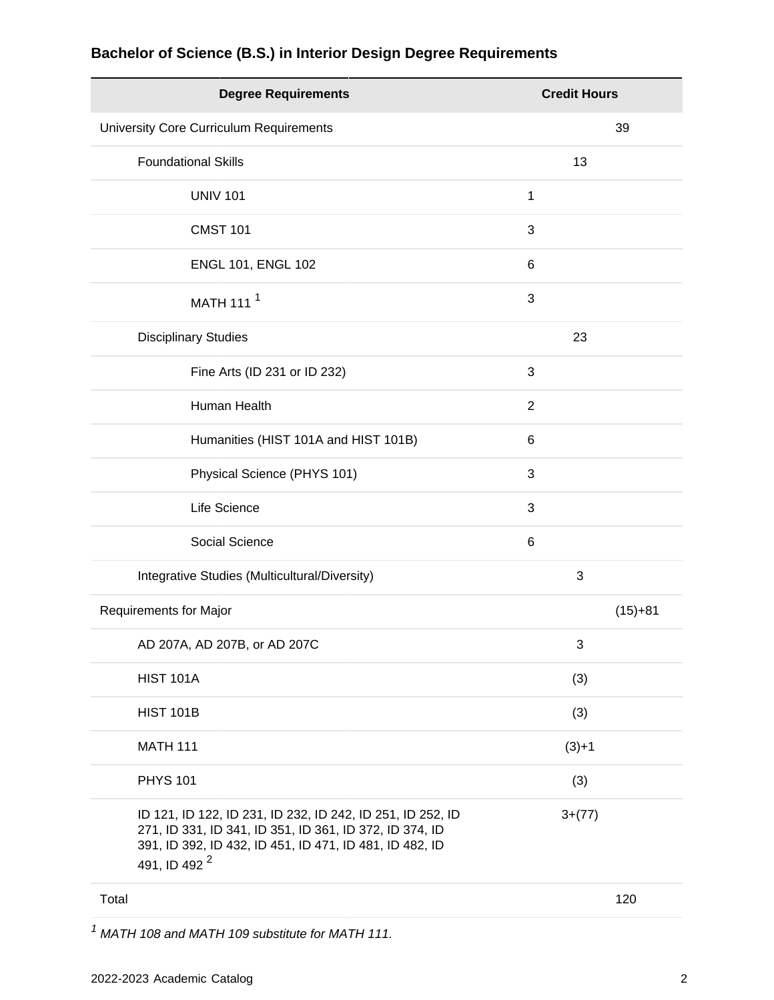| <b>Degree Requirements</b>                                                                                                                                                                                   | <b>Credit Hours</b> |
|--------------------------------------------------------------------------------------------------------------------------------------------------------------------------------------------------------------|---------------------|
| University Core Curriculum Requirements                                                                                                                                                                      | 39                  |
| <b>Foundational Skills</b>                                                                                                                                                                                   | 13                  |
| <b>UNIV 101</b>                                                                                                                                                                                              | 1                   |
| <b>CMST 101</b>                                                                                                                                                                                              | 3                   |
| ENGL 101, ENGL 102                                                                                                                                                                                           | 6                   |
| MATH 111 <sup>1</sup>                                                                                                                                                                                        | 3                   |
| <b>Disciplinary Studies</b>                                                                                                                                                                                  | 23                  |
| Fine Arts (ID 231 or ID 232)                                                                                                                                                                                 | 3                   |
| Human Health                                                                                                                                                                                                 | $\overline{2}$      |
| Humanities (HIST 101A and HIST 101B)                                                                                                                                                                         | 6                   |
| Physical Science (PHYS 101)                                                                                                                                                                                  | 3                   |
| Life Science                                                                                                                                                                                                 | 3                   |
| Social Science                                                                                                                                                                                               | 6                   |
| Integrative Studies (Multicultural/Diversity)                                                                                                                                                                | 3                   |
| Requirements for Major                                                                                                                                                                                       | $(15)+81$           |
| AD 207A, AD 207B, or AD 207C                                                                                                                                                                                 | 3                   |
| <b>HIST 101A</b>                                                                                                                                                                                             | (3)                 |
| <b>HIST 101B</b>                                                                                                                                                                                             | (3)                 |
| <b>MATH 111</b>                                                                                                                                                                                              | $(3)+1$             |
| <b>PHYS 101</b>                                                                                                                                                                                              | (3)                 |
| ID 121, ID 122, ID 231, ID 232, ID 242, ID 251, ID 252, ID<br>271, ID 331, ID 341, ID 351, ID 361, ID 372, ID 374, ID<br>391, ID 392, ID 432, ID 451, ID 471, ID 481, ID 482, ID<br>491, ID 492 <sup>2</sup> | $3+(77)$            |

## **Bachelor of Science (B.S.) in Interior Design Degree Requirements**

Total 120

 $1$  MATH 108 and MATH 109 substitute for MATH 111.